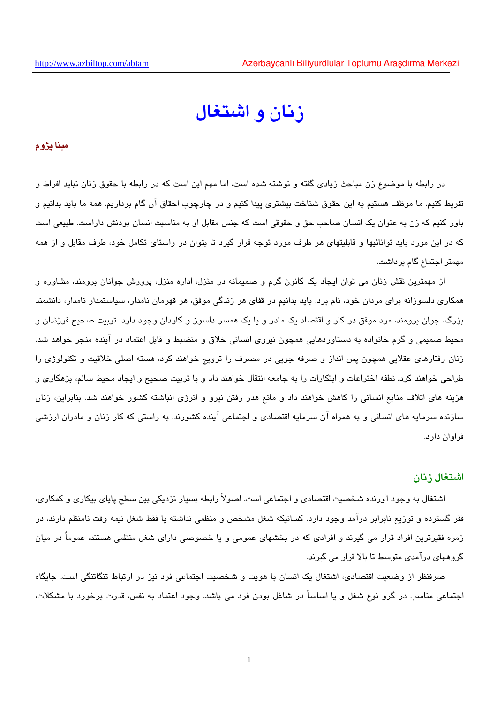# زنان و اشتغال

مينا يژوم

در رابطه با موضوع زن مباحث زیادی گفته و نوشته شده است، اما مهم این است که در رابطه با حقوق زنان نباید افراط و تفریط کنیم. ما موظف هستیم به این حقوق شناخت بیشتری پیدا کنیم و در چارچوب احقاق آن گام برداریم. همه ما باید بدانیم و باور کنیم که زن به عنوان یک انسان صاحب حق و حقوقی است که جنس مقابل او به مناسبت انسان بودنش داراست. طبیعی است که در این مورد باید توانائیها و قابلیتهای هر طرف مورد توجه قرار گیرد تا بتوان در راستای تکامل خود، طرف مقابل و از همه مهمتر اجتماع گام برداشت.

از مهمترین نقش زنان می توان ایجاد یک کانون گرم و صمیمانه در منزل، اداره منزل، پرورش جوانان برومند، مشاوره و همکاری دلسوزانه برای مردان خود، نام برد. باید بدانیم در قفای هر زندگی موفق، هر قهرمان نامدار، سیاستمدار نامدار، دانشمند بزرگ، جوان برومند، مرد موفق در کار و اقتصاد یک مادر و یا یک همسر دلسوز و کاردان وجود دارد. تربیت صحیح فرزندان و محیط صمیمی و گرم خانواده به دستاوردهایی همچون نیروی انسانی خلاق و منضبط و قابل اعتماد در آینده منجر خواهد شد. زنان رفتارهای عقلایی همچون پس انداز و صرفه جویی در مصرف را ترویج خواهند کرد، هسته اصلی خلاقیت و تکنولوژی را طراحی خواهند کرد. نطفه اختراعات و ابتکارات را به جامعه انتقال خواهند داد و با تربیت صحیح و ایجاد محیط سالم، بزهکاری و هزینه های اتلاف منابع انسانی را کاهش خواهند داد و مانع هدر رفتن نیرو و انرژی انباشته کشور خواهند شد. بنابراین، زنان سازنده سرمایه های انسانی و به همراه آن سرمایه اقتصادی و اجتماعی آینده کشورند. به راستی که کار زنان و مادران ارزشی فراوان دارد.

#### اشتغال زنان

اشتغال به وجود آورنده شخصیت اقتصادی و اجتماعی است. اصولاً رابطه بسیار نزدیکی بین سطح پایای بیکاری و کمکاری، فقر گسترده و توزیع نابرابر درآمد وجود دارد. کسانیکه شغل مشخص و منظمی نداشته یا فقط شغل نیمه وقت نامنظم دارند، در زمره فقیرترین افراد قرار می گیرند و افرادی که در بخشهای عمومی و یا خصوصی دارای شغل منظمی هستند، عموماً در میان گروههای درآمدی متوسط تا بالا قرار می گیرند.

صرفنظر از وضعیت اقتصادی، اشتغال یک انسان با هویت و شخصیت اجتماعی فرد نیز در ارتباط تنگاتنگی است. جایگاه اجتماعی مناسب در گرو نوع شغل و یا اساساً در شاغل بودن فرد می باشد. وجود اعتماد به نفس، قدرت برخورد با مشکلات،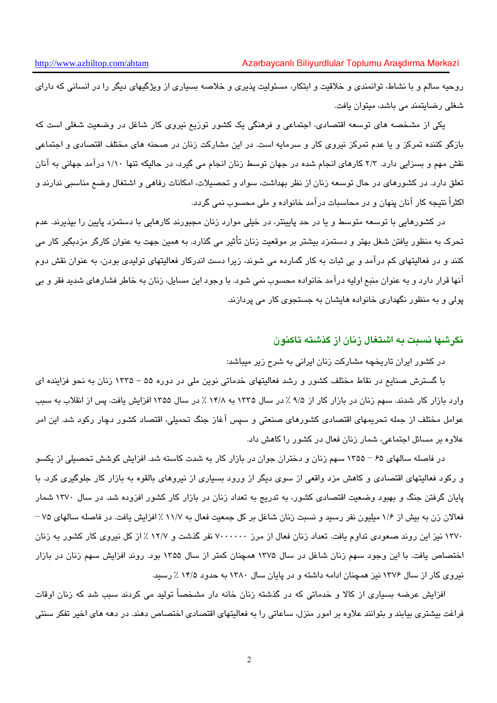روحیه سالم و با نشاط، توانمندی و خلاقیت و ابتکار، مسئولیت پذیری و خلاصه بسیاری از ویژگیهای دیگر را در انسانی که دارای شغلی رضایتمند می پاشد، میتوان بافت.

یکی از مشخصه های توسعه اقتصادی، اجتماعی و فرهنگی یک کشور توزیع نیروی کار شاغل در وضعیت شغلی است که بازگو کننده تمرکز و یا عدم تمرکز نیروی کار و سرمایه است. در این مشارکت زنان در صحنه های مختلف اقتصادی و اجتماعی نقش مهم و بسزایی دارد. ۲/۳ کارهای انجام شده در جهان توسط زنان انجام می گیرد، در حالیکه تنها ۱/۱۰ درآمد جهانی به آنان تعلق دارد. در کشورهای در حال توسعه زنان از نظر بهداشت، سواد و تحصیلات، امکانات رفاهی و اشتغال وضع مناسبی ندارند و اکثراً نتیجه کار آنان پنهان و در محاسبات درآمد خانواده و ملی محسوب نمی گردد.

در کشورهایی با توسعه متوسط و یا در حد پایینتر، در خیلی موارد زنان مجبورند کارهایی با دستمزد پایین را بپذیرند. عدم تحرک به منظور یافتن شغل بهتر و دستمزد بیشتر بر موقعیت زنان تأثیر می گذارد. به همین جهت به عنوان کارگر مزدبگیر کار می کنند و در فعالیتهای کم درآمد و بی ثبات به کار گمارده می شوند، زیرا دست اندرکار فعالیتهای تولیدی بودن، به عنوان نقش دوم آنها قرار دارد و به عنوان منبع اولیه درآمد خانواده محسوب نمی شود. با وجود این مسایل، زنان به خاطر فشارهای شدید فقر و بی پولی و به منظور نگهداری خانواده هایشان به جستجوی کار می پردازند.

## نگرشها نسبت به اشتغال زنان از گذشته تاکنون

در کشور ایران تاریخچه مشارکت زنان ایرانی به شرح زیر میباشد:

با گسترش صنایع در نقاط مختلف کشور و رشد فعالیتهای خدماتی نوین ملی در دوره ۵۵ – ۱۳۳۵ زنان به نحو فزاینده ای وارد بازار کار شدند. سهم زنان در بازار کار از ۹/۵ ٪ در سال ۱۳۳۵ به ۱۴/۸ ٪ در سال ۱۳۵۵ افزایش یافت. پس از انقلاب به سبب عوامل مختلف از جمله تحریمهای اقتصادی کشورهای صنعتی و سپس آغاز جنگ تحمیلی، اقتصاد کشور دچار رکود شد. این امر علاوه بر مسائل اجتماعی، شمار زنان فعال در کشور را کاهش داد.

در فاصله سالهای ۶۵ – ۱۳۵۵ سهم زنان و دختران جوان در بازار کار به شدت کاسته شد. افزایش کوشش تحصیلی از یکسو و رکود فعالیتهای اقتصادی و کاهش مزد واقعی از سوی دیگر از ورود بسیاری از نیروهای بالقوه به بازار کار جلوگیری کرد. با پایان گرفتن جنگ و بهبود وضعیت اقتصادی کشور، به تدریج به تعداد زنان در بازار کار کشور افزوده شد. در سال ۱۳۷۰ شمار فعالان زن به بیش از ۱/۶ میلیون نفر رسید و نسبت زنان شاغل بر کل جمعیت فعال به ۱۱/۷ ٪ افزایش یافت. در فاصله سالهای ۷۵ – ۱۳۷۰ نیز این روند صعودی تداوم یافت. تعداد زنان فعال از مرز ۷۰۰۰۰۰۰ نفر گذشت و ۱۲/۷ ٪ از کل نیروی کار کشور به زنان اختصاص یافت. با این وجود سهم زنان شاغل در سال ۱۳۷۵ همچنان کمتر از سال ۱۳۵۵ بود. روند افزایش سهم زنان در بازار نیروی کار از سال ۱۳۷۶ نیز همچنان ادامه داشته و در پایان سال ۱۳۸۰ به حدود ۱۴/۵ ٪ رسید.

افزایش عرضه بسیاری از کالا و خدماتی که در گذشته زنان خانه دار مشخصاً تولید می کردند سبب شد که زنان اوقات فراغت بیشتری بیابند و بتوانند علاوه بر امور منزل، ساعاتی را به فعالیتهای اقتصادی اختصاص دهند. در دهه های اخیر تفکر سنتی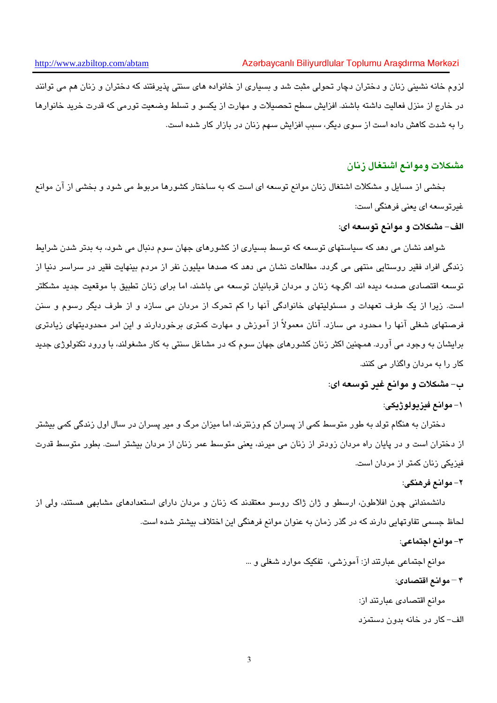لزوم خانه نشینی زنان و دختران دچار تحولی مثبت شد و بسیاری از خانواده های سنتی پذیرفتند که دختران و زنان هم می توانند در خارج از منزل فعالیت داشته باشند. افزایش سطح تحصیلات و مهارت از یکسو و تسلط وضعیت تورمی که قدرت خرید خانوارها را به شدت کاهش داده است از سوی دیگر، سبب افزایش سهم زنان در بازار کار شده است.

# مشكلات وموانع اشتغال زنان

بخشی از مسایل و مشکلات اشتغال زنان موانع توسعه ای است که به ساختار کشورها مربوط می شود و بخشی از آن موانع غیرتوسعه ای یعنی فرهنگی است:

## الف- مشكلات و موانع توسعه اي:

شواهد نشان می دهد که سیاستهای توسعه که توسط بسیاری از کشورهای جهان سوم دنبال می شود، به بدتر شدن شرایط زندگی افراد فقیر روستایی منتھی می گردد. مطالعات نشان می دهد که صدها میلیون نفر از مردم بینهایت فقیر در سراسر دنیا از توسعه اقتصادی صدمه دیده اند. اگرچه زنان و مردان قربانیان توسعه می باشند، اما برای زنان تطبیق با موقعیت جدید مشكلتر است. زیرا از یک طرف تعهدات و مسئولیتهای خانوادگی آنها را کم تحرک از مردان می سازد و از طرف دیگر رسوم و سنن فرصتهای شغلی آنها را محدود می سازد. آنان معمولاً از آموزش و مهارت کمتری برخوردارند و این امر محدودیتهای زیادتری برایشان به وجود می آورد. همچنین اکثر زنان کشورهای جهان سوم که در مشاغل سنتی به کار مشغولند، با ورود تکنولوژی جدید کار را به مردان واگذار می کنند.

ب- مشكلات و موانع غير توسعه اي:

#### ١– موانع فيزيولوژيکي:

دختران به هنگام تولد به طور متوسط کمی از پسران کم ورنترند، اما میزان مرگ و میر پسران در سال اول زندگی کمی بیشتر از دختران است و در پایان راه مردان زودتر از زنان می میرند، یعنی متوسط عمر زنان از مردان بیشتر است. بطور متوسط قدرت فیزیکی زنان کمتر از مردان است.

#### ٢- موانع فرهنگي:

دانشمندانی چون افلاطون، ارسطو و ژان ژاک روسو معتقدند که زنان و مردان دارای استعدادهای مشابهی هستند، ولی از لحاظ جسمی تفاوتهایی دارند که در گذر زمان به عنوان موانع فرهنگی این اختلاف بیشتر شده است.

## ٣- موانع اجتماعي:

موانع اجتماعی عبارتند از: آموزشی، تفکیک موارد شغلی و … ۴ – موانع اقتصادى:

موانع اقتصادى عبارتند از:

الف- کار در خانه بدون دستمزد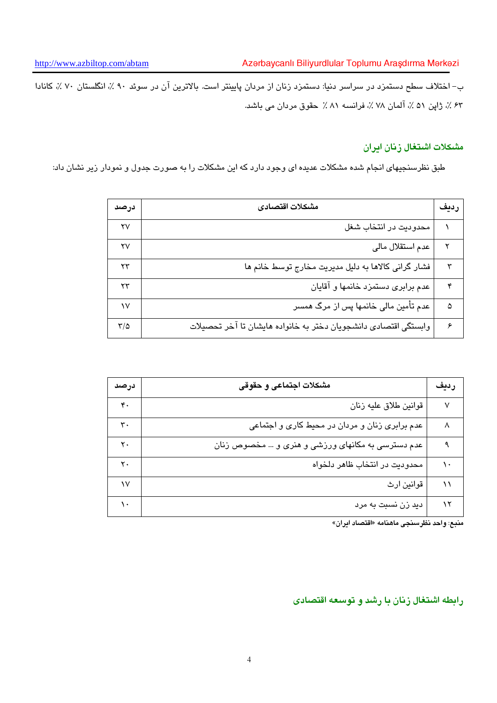ب– اختلاف سطح دستمزد در سراسر دنیا: دستمزد زنان از مردان پایینتر است. بالاترین آن در سوئد ۹۰ ٪، انگلستان ۷۰ ٪، کانادا ۶۳ ٪، ژاپن ۵۱ ٪، آلمان ۷۸ ٪، فرانسه ۸۱ ٪ حقوق مردان می باشد.

# مشكلات اشتغال زنان ايران

طبق نظرسنجیهای انجام شده مشکلات عدیده ای وجود دارد که این مشکلات را به صورت جدول و نمودار زیر نشان داد:

| درصد | مشكلات اقتصادى                                                  | رديف |
|------|-----------------------------------------------------------------|------|
| ۲۷   | محدودیت در انتخاب شغل                                           |      |
| ۲۷   | عدم استقلال مالي                                                |      |
| ۲۳   | فشار گرانی کالاها به دلیل مدیریت مخارج توسط خانم ها             | ٣    |
| ۲۳   | عدم برابری دستمزد خانمها و آقایان                               | ۴    |
| ١V   | عدم تأمین مالی خانمها پس از مرگ همسر                            | ۵    |
| ۳/۵  | وابستگی اقتصادی دانشجویان دختر به خانواده هایشان تا آخر تحصیلات | ۶    |

| درصد | مشكلات اجتماعي و حقوقي                            | رديف |
|------|---------------------------------------------------|------|
| ۴٠   | قوانين طلاق عليه زنان                             | ٧    |
| ٣٠   | عدم برابری زنان و مردان در محیط کاری و اجتماعی    | Λ    |
| ۲۰   | عدم دسترسی به مکانهای ورزشی و هنری و … مخصوص زنان | ٩    |
| ۲.   | محدوديت در انتخاب ظاهر دلخواه                     | ١.   |
| ١v   | قوانين ارث                                        | ۱۱   |
|      | دید زن نسبت به مرد                                | ۱۲   |

منبع: واحد نظرسنجي ماهنامه «اقتصاد ايران»

رابطه اشتغال زنان با رشد و توسعه اقتصادى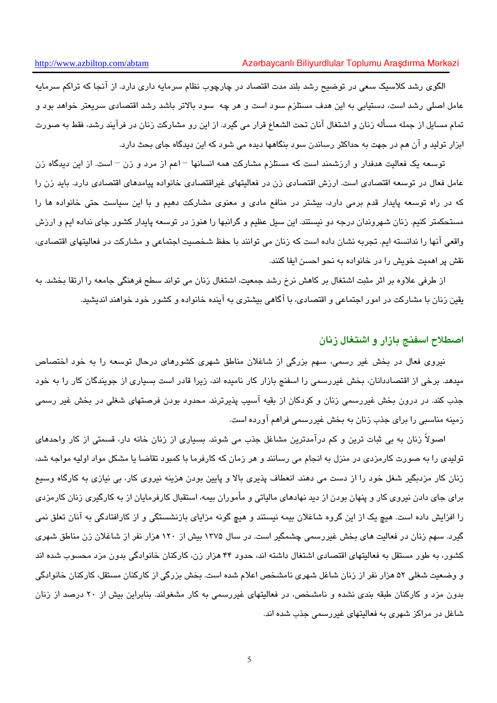الگوی رشد کلاسبک سعی در توضیح رشد بلند مدت اقتصاد در چارچوب نظام سرمایه داری دارد. از آنجا که تراکم سرمایه عامل اصلی رشد است، دستیابی به این هدف مستلزم سود است و هر چه سود بالاتر باشد رشد اقتصادی سریعتر خواهد بود و تمام مسایل از جمله مسأله زنان و اشتغال آنان تحت الشعاع قرار می گیرد. از این رو مشارکت زنان در فرآیند رشد، فقط به صورت ابزار تولید و آن هم در جهت به حداکثر رساندن سود بنگاهها دیده می شود که این دیدگاه جای بحث دارد.

توسعه یک فعالیت هدفدار و ارزشمند است که مستلزم مشارکت همه انسانها –اعم از مرد و زن – است. از این دیدگاه زن عامل فعال در توسعه اقتصادی است. ارزش اقتصادی زن در فعالیتهای غیراقتصادی خانواده پیامدهای اقتصادی دارد. باید زن را که در راه توسعه پایدار قدم برمی دارد، بیشتر در منافع مادی و معنوی مشارکت دهیم و با این سیاست حتی خانواده ها را مستحکمتر کنیم. زنان شهروندان درجه دو نیستند. این سیل عظیم و گرانبها را هنوز در توسعه پایدار کشور جای نداده ایم و ارزش واقعی آنها را ندانسته ایم. تجربه نشان داده است که زنان می توانند با حفظ شخصیت اجتماعی و مشارکت در فعالیتهای اقتصادی، نقش پر اهمیت خویش را در خانواده به نحو احسن ایفا کنند.

از طرفی علاوه بر اثر مثبت اشتغال بر کاهش نرخ رشد جمعیت، اشتغال زنان می تواند سطح فرهنگی جامعه را ارتقا بخشد. به یقین زنان با مشارکت در امور اجتماعی و اقتصادی، با آگاهی بیشتری به آینده خانواده و کشور خود خواهند اندیشید.

#### اصطلاح اسفنج بازار و اشتغال زنان

نیروی فعال در بخش غیر رسمی، سهم بزرگی از شاغلان مناطق شهری کشورهای درحال توسعه را به خود اختصاص میدهد. برخی از اقتصاددانان، بخش غیررسمی را اسفنج بازار کار نامیده اند، زیرا قادر است بسیاری از جویندگان کار را به خود جذب کند. در درون بخش غیررسمی زنان و کودکان از بقیه آسیب پذیرترند. محدود بودن فرصتهای شغلی در بخش غیر رسمی زمینه مناسبی را برای جذب زنان به بخش غیررسمی فراهم آورده است.

اصولاً زنان به بی ثبات ترین و کم درآمدترین مشاغل جذب می شوند. بسیاری از زنان خانه دار، قسمتی از کار واحدهای تولیدی را به صورت کارمزدی در منزل به انجام می رسانند و هر زمان که کارفرما با کمبود تقاضا یا مشکل مواد اولیه مواجه شد، زنان کار مزدبگیر شغل خود را از دست می دهند. انعطاف پذیری بالا و پایین بودن هزینه نیروی کار، بی نیازی به کارگاه وسیع برای جای دادن نیروی کار و پنهان بودن از دید نهادهای مالیاتی و مأموران بیمه، استقبال کارفرمایان از به کارگیری زنان کارمزدی را افزایش داده است. هیچ یک از این گروه شاغلان بیمه نیستند و هیچ گونه مزایای بازنشستگی و از کارافتادگی به آنان تعلق نمی گیرد. سهم زنان در فعالیت های بخش غیررسمی چشمگیر است. در سال ۱۳۷۵ بیش از ۱۲۰ هزار نفر از شاغلان زن مناطق شهری کشور، به طور مستقل به فعالیتهای اقتصادی اشتغال داشته اند، حدود ۴۴ هزار زن، کارکنان خانوادگی بدون مزد محسوب شده اند و وضعیت شغلی ۵۲ هزار نفر از زنان شاغل شهری نامشخص اعلام شده است. بخش بزرگی از کارکنان مستقل، کارکنان خانوادگی بدون مزد و کارکنان طبقه بندی نشده و نامشخص، در فعالیتهای غیررسمی به کار مشغولند. بنابراین بیش از ۲۰ درصد از زنان شاغل در مراکز شهری به فعالیتهای غیررسمی جذب شده اند.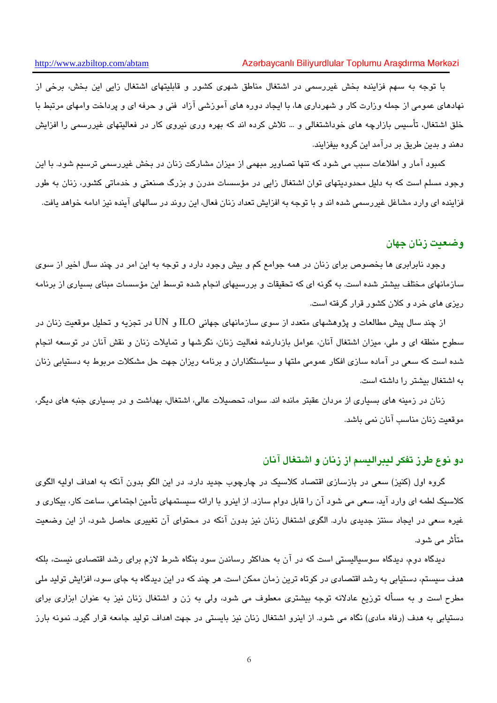با توجه به سهم فزاینده بخش غیررسمی در اشتغال مناطق شهری کشور و قابلیتهای اشتغال زایی این بخش، برخی از نهادهای عمومی از جمله وزارت کار و شهرداری ها، با ایجاد دوره های آموزشی آزاد فنی و حرفه ای و پرداخت وامهای مرتبط با خلق اشتغال، تأسیس بازارچه های خوداشتغالی و … تلاش کرده اند که بهره وری نیروی کار در فعالیتهای غیررسمی را افزایش دهند و بدین طریق بر درآمد این گروه بیفزایند.

کمبود آمار و اطلاعات سبب می شود که تنها تصاویر مبهمی از میزان مشارکت زنان در بخش غیررسمی ترسیم شود. با این وجود مسلم است که به دلیل محدودیتهای توان اشتغال زای<sub>ه</sub> در مؤسسات مدرن و بزرگ صنعتی و خدماتی کشور، زنان به طور فزاینده ای وارد مشاغل غیررسمی شده اند و با توجه به افزایش تعداد زنان فعال، این روند در سالهای آینده نیز ادامه خواهد یافت.

## وضعيت زنان جهان

وجود نابرابری ها بخصوص برای زنان در همه جوامع کم و بیش وجود دارد و توجه به این امر در چند سال اخیر از سوی سازمانهای مختلف بیشتر شده است. به گونه ای که تحقیقات و بررسیهای انجام شده توسط این مؤسسات مبنای بسیاری از برنامه ریزی های خرد و کلان کشور قرار گرفته است.

از چند سال پیش مطالعات و پژوهشهای متعدد از سوی سازمانهای جهانی ILO و UN در تجزیه و تحلیل موقعیت زنان در سطوح منطقه ای و ملی، میزان اشتغال آنان، عوامل بازدارنده فعالیت زنان، نگرشها و تمایلات زنان و نقش آنان در توسعه انجام شده است که سعی در آماده سازی افکار عمومی ملتها و سیاستگذاران و برنامه ریزان جهت حل مشکلات مربوط به دستیابی زنان به اشتغال بیشتر را داشته است.

زنان در زمینه های بسیاری از مردان عقبتر مانده اند. سواد، تحصیلات عالی، اشتغال، بهداشت و در بسیاری جنبه های دیگر، موقعت زنان مناسب آنان نمی باشد.

## دو نوع طرز تفکر لیبرالیسم از زنان و اشتغال آنان

گروه اول (کنیز) سعی در بازسازی اقتصاد کلاسیک در چارچوب جدید دارد. در این الگو بدون آنکه به اهداف اولیه الگوی کلاسیک لطمه ای وارد آید، سعی می شود آن را قابل دوام سازد. از اینرو با ارائه سیستمهای تأمین اجتماعی، ساعت کار، بیکاری و غیره سعی در ایجاد سنتز جدیدی دارد. الگوی اشتغال زنان نیز بدون آنکه در محتوای آن تغییری حاصل شود، از این وضعیت متأثر می شود.

دیدگاه دوم، دیدگاه سوسیالیستی است که در آن به حداکثر رساندن سود بنگاه شرط لازم برای رشد اقتصادی نیست، بلکه هدف سیستم، دستیابی به رشد اقتصادی در کوتاه ترین زمان ممکن است. هر چند که در این دیدگاه به جای سود، افزایش تولید ملی مطرح است و به مسأله توزیع عادلانه توجه بیشتری معطوف می شود، ولی به زن و اشتغال زنان نیز به عنوان ابزاری برای دستیابی به هدف (رفاه مادی) نگاه می شود. از اینرو اشتغال زنان نیز بایستی در جهت اهداف تولید جامعه قرار گیرد. نمونه بارز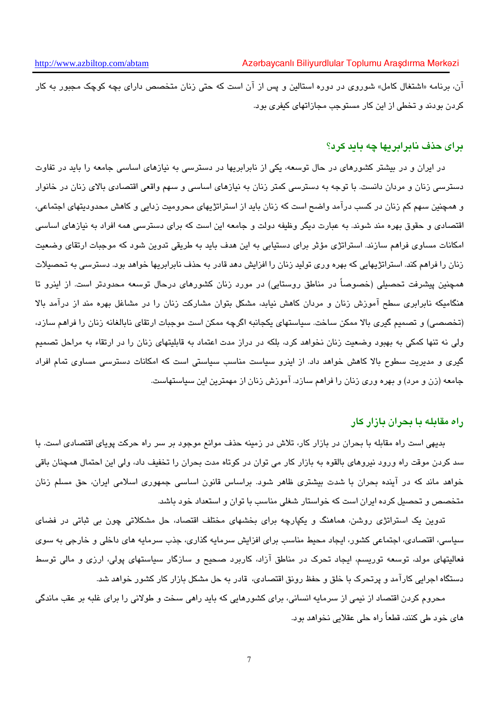آن، برنامه «اشتغال کامل» شوروی در دوره استالین و پس از آن است که حتی زنان متخصص دارای بچه کوچک مجبور به کار کردن بودند و تخطی از این کار مستوجب مجازاتهای کنفری بود.

# درای حذف نابرابریها چه باید کرد؟

در ایران و در بیشتر کشورهای در حال توسعه، یکی از نابرابریها در دسترسی به نیازهای اساسی جامعه را باید در تفاوت دسترسی زنان و مردان دانست. با توجه به دسترسی کمتر زنان به نیازهای اساسی و سهم واقعی اقتصادی بالای زنان در خانوار و همچنین سهم کم زنان در کسب درآمد واضح است که زنان باید از استراتژیهای محرومیت زدایی و کاهش محدودیتهای اجتماعی، اقتصادی و حقوق بهره مند شوند. به عبارت دیگر وظیفه دولت و جامعه این است که برای دسترسی همه افراد به نیازهای اساسی امکانات مساوی فراهم سازند. استراتژی مؤثر برای دستیابی به این هدف باید به طریقی تدوین شود که موجبات ارتقای وضعیت زنان را فراهم کند. استراتژیهایی که بهره وری تولید زنان را افزایش دهد قادر به حذف نابرابریها خواهد بود. دسترسی به تحصیلات همچنین پیشرفت تحصیلی (خصوصاً در مناطق روستایی) در مورد زنان کشورهای درحال توسعه محدودتر است. از اینرو تا هنگامیکه نابرابری سطح آموزش زنان و مردان کاهش نیابد، مشکل بتوان مشارکت زنان را در مشاغل بهره مند از درآمد بالا (تخصصی) و تصمیم گیری بالا ممکن ساخت. سیاستهای یکجانبه اگرچه ممکن است موجبات ارتقای نابالغانه زنان را فراهم سازد، ولی نه تنها کمکی به بهبود وضعیت زنان نخواهد کرد، بلکه در دراز مدت اعتماد به قابلیتهای زنان را در ارتقاء به مراحل تصمیم گیری و مدیریت سطوح بالا کاهش خواهد داد. از اینرو سیاست مناسب سیاستی است که امکانات دسترسی مساوی تمام افراد جامعه (زن و مرد) و بهره وری زنان را فراهم سازد. آموزش زنان از مهمترین این سیاستهاست.

### راه مقابله با بحران بازار کار

بدیهی است راه مقابله با بحران در بازار کار، تلاش در زمینه حذف موانع موجود بر سر راه حرکت پویای اقتصادی است. با سد کردن موقت راه ورود نیروهای بالقوه به بازار کار می توان در کوتاه مدت بحران را تخفیف داد، ولی این احتمال همچنان باقی خواهد ماند که در آینده بحران با شدت بیشتری ظاهر شود. براساس قانون اساسی جمهوری اسلامی ایران، حق مسلم زنان متخصص و تحصیل کرده ایران است که خواستار شغلی مناسب با توان و استعداد خود باشد.

تدوین یک استراتژی روشن، هماهنگ و یکپارچه برای بخشهای مختلف اقتصاد، حل مشکلاتی چون بی ثباتی در فضای سیاسی، اقتصادی، اجتماعی کشور، ایجاد محیط مناسب برای افزایش سرمایه گذاری، جذب سرمایه های داخلی و خارجی به سوی فعالیتهای مولد، توسعه توریسم، ایجاد تحرک در مناطق آزاد، کاربرد صحیح و سازگار سیاستهای پولی، ارزی و مالی توسط دستگاه اجرایی کارآمد و پرتحرک با خلق و حفظ رونق اقتصادی، قادر به حل مشکل بازار کار کشور خواهد شد.

محروم کردن اقتصاد از نیمی از سرمایه انسانی، برای کشورهایی که باید راهی سخت و طولانی را برای غلبه بر عقب ماندگی های خود طی کنند، قطعاً راه حلی عقلایی نخواهد بود.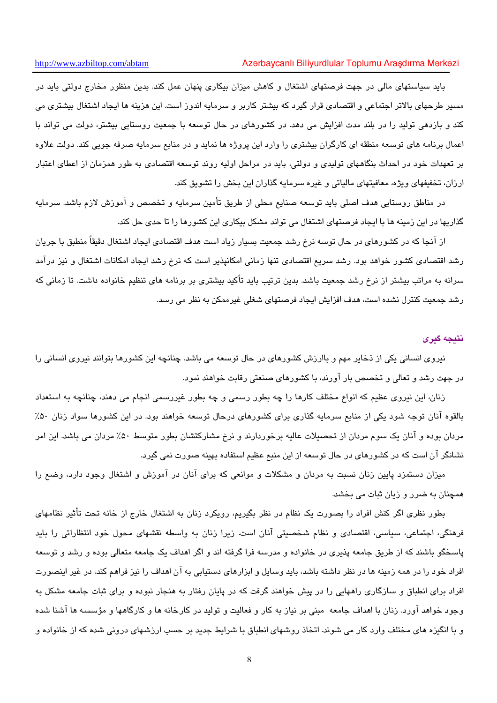#### Azərbaycanlı Biliyurdlular Toplumu Araşdırma Mərkəzi

باید سیاستهای مالی در جهت فرصتهای اشتغال و کاهش میزان بیکاری پنهان عمل کند. بدین منظور مخارج دولتی باید در مسیر طرحهای بالاتر اجتماعی و اقتصادی قرار گیرد که بیشتر کاربر و سرمایه اندوز است. این هزینه ها ایجاد اشتغال بیشتری می کند و بازدهی تولید را در بلند مدت افزایش می دهد. در کشورهای در حال توسعه با جمعیت روستایی بیشتر، دولت می تواند با اعمال برنامه های توسعه منطقه ای کارگران بیشتری را وارد این پروژه ها نماید و در منابع سرمایه صرفه جویی کند. دولت علاوه بر تعهدات خود در احداث بنگاههای تولیدی و دولتی، باید در مراحل اولیه روند توسعه اقتصادی به طور همزمان از اعطای اعتبار ارزان، تخفیفهای ویژه، معافیتهای مالیاتی و غیره سرمایه گذاران این بخش را تشویق کند.

در مناطق روستايي هدف اصلي بايد توسعه صنايع محلي از طريق تأمين سرمايه و تخصص و آموزش لازم باشد. سرمايه گذاریها در این زمینه ها با ایجاد فرصتهای اشتغال می تواند مشکل بیکاری این کشورها را تا حدی حل کند.

از آنجا که در کشورهای در حال توسه نرخ رشد جمعیت بسیار زیاد است هدف اقتصادی ایجاد اشتغال دقیقاً منطبق با جریان رشد اقتصادی کشور خواهد بود. رشد سریع اقتصادی تنها زمانی امکانپذیر است که نرخ رشد ایجاد امکانات اشتغال و نیز درآمد سرانه به مراتب بیشتر از نرخ رشد جمعیت باشد. بدین ترتیب باید تأکید بیشتری بر برنامه های تنظیم خانواده داشت. تا زمانی که رشد جمعیت کنترل نشده است، هدف افزایش ایجاد فرصتهای شغلی غیرممکن به نظر می رسد.

#### نتىجە گىرى

نیروی انسانی یکی از ذخایر مهم و باارزش کشورهای در حال توسعه می باشد. چنانچه این کشورها بتوانند نیروی انسانی را در جهت رشد و تعالی و تخصص بار آورند، با کشورهای صنعتی رقابت خواهند نمود.

زنان، این نیروی عظیم که انواع مختلف کارها را چه بطور رسمی و چه بطور غیررسمی انجام می دهند، چنانچه به استعداد بالقوه آنان توجه شود یکی از منابع سرمایه گذاری برای کشورهای درحال توسعه خواهند بود. در این کشورها سواد زنان ۵۰٪ مردان بوده و آنان یک سوم مردان از تحصیلات عالیه برخوردارند و نرخ مشارکتشان بطور متوسط ۵۰٪ مردان می باشد. این امر نشانگر آن است که در کشورهای در حال توسعه از این منبع عظیم استفاده بهینه صورت نمی گیرد.

میزان دستمزد پایین زنان نسبت به مردان و مشکلات و موانعی که برای آنان در آموزش و اشتغال وجود دارد، وضع را همچنان به ضرر و زبان ثبات می بخشد.

بطور نظری اگر کنش افراد را بصورت یک نظام در نظر بگیریم، رویکرد زنان به اشتغال خارج از خانه تحت تأثیر نظامهای فرهنگی، اجتماعی، سیاسی، اقتصادی و نظام شخصیتی آنان است. زیرا زنان به واسطه نقشهای محول خود انتظاراتی را باید پاسخگو باشند که از طریق جامعه پذیری در خانواده و مدرسه فرا گرفته اند و اگر اهداف یک جامعه متعالی بوده و رشد و توسعه افراد خود را در همه زمینه ها در نظر داشته باشد، باید وسایل و ابزارهای دستیابی به آن اهداف را نیز فراهم کند، در غیر اینصورت افراد برای انطباق و سازگاری راههایی را در پیش خواهند گرفت که در پایان رفتار به هنجار نبوده و برای ثبات جامعه مشکل به وجود خواهد آورد. زنان با اهداف جامعه مبنی بر نیاز به کار و فعالیت و تولید در کارخانه ها و کارگاهها و مؤسسه ها آشنا شده و با انگیزه های مختلف وارد کار می شوند. اتخاذ روشهای انطباق با شرایط جدید بر حسب ارزشهای درونی شده که از خانواده و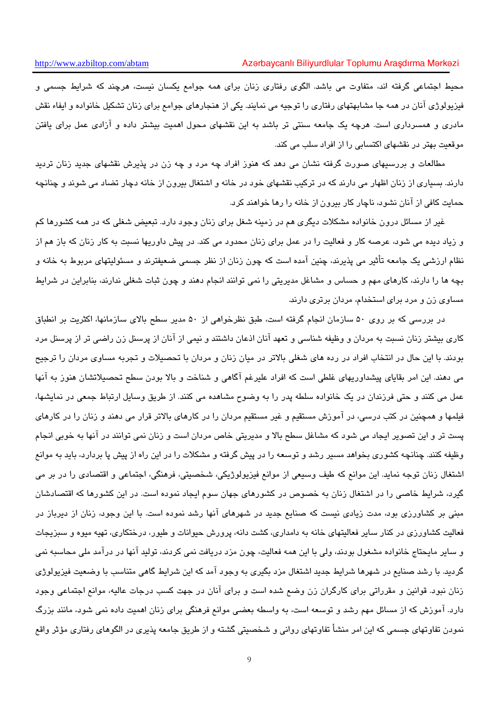محیط اجتماعی گرفته اند، متفاوت می باشد. الگوی رفتاری زنان برای همه جوامع یکسان نیست، هرچند که شرایط جسمی و فیزیولوژی آنان در همه جا مشابهتهای رفتاری را توجیه می نمایند. یکی از هنجارهای جوامع برای زنان تشکیل خانواده و ایفاء نقش مادری و همسرداری است. هرچه یک جامعه سنتی تر باشد به این نقشهای محول اهمیت بیشتر داده و آزادی عمل برای یافتن موقعیت بهتر در نقشهای اکتسابی را از افراد سلب می کند.

مطالعات و بررسیهای صورت گرفته نشان می دهد که هنوز افراد چه مرد و چه زن در پذیرش نقشهای جدید زنان تردید دارند. بسیاری از زنان اظهار می دارند که در ترکیب نقشهای خود در خانه و اشتغال بیرون از خانه دچار تضاد می شوند و چنانچه حمایت کافی از آنان نشود، ناچار کار بیرون از خانه را رها خواهند کرد.

غیر از مسائل درون خانواده مشکلات دیگری هم در زمینه شغل برای زنان وجود دارد. تبعیض شغلی که در همه کشورها کم و زیاد دیده می شود، عرصه کار و فعالیت را در عمل برای زنان محدود می کند. در پیش داوریها نسبت به کار زنان که باز هم از نظام ارزشی یک جامعه تأثیر می پذیرند، چنین آمده است که چون زنان از نظر جسمی ضعیفترند و مسئولیتهای مربوط به خانه و بچه ها را دارند، کارهای مهم و حساس و مشاغل مدیریتی را نمی توانند انجام دهند و چون ثبات شغلی ندارند، بنابراین در شرایط مساوی زن و مرد برای استخدام، مردان برتری دارند.

در بررسی که بر روی ۵۰ سازمان انجام گرفته است، طبق نظرخواهی از ۵۰ مدیر سطح بالای سازمانها، اکثریت بر انطباق کاری بیشتر زنان نسبت به مردان و وظیفه شناسی و تعهد آنان اذعان داشتند و نیمی از آنان از پرسنل زن راضی تر از پرسنل مرد بودند. با این حال در انتخاب افراد در رده های شغلی بالاتر در میان زنان و مردان با تحصیلات و تجربه مساوی مردان را ترجیح می دهند. این امر بقایای پیشداوریهای غلطی است که افراد علیرغم آگاهی و شناخت و بالا بودن سطح تحصیلاتشان هنوز به آنها عمل مي كنند و حتى فرزندان در يک خانواده سلطه پدر را به وضوح مشاهده مي كنند. از طريق وسايل ارتباط جمعي در نمايشها، فیلمها و همچنین در کتب درسی، در آموزش مستقیم و غیر مستقیم مردان را در کارهای بالاتر قرار می دهند و زنان را در کارهای پست تر و این تصویر ایجاد می شود که مشاغل سطح بالا و مدیریتی خاص مردان است و زنان نمی توانند در آنها به خوبی انجام وظیفه کنند. چنانچه کشوری بخواهد مسیر رشد و توسعه را در پیش گرفته و مشکلات را در این راه از پیش پا بردارد، باید به موانع اشتغال زنان توجه نماید. این موانع که طیف وسیعی از موانع فیزیولوژیکی، شخصیتی، فرهنگی، اجتماعی و اقتصادی را در بر می گیرد، شرایط خاصی را در اشتغال زنان به خصوص در کشورهای جهان سوم ایجاد نموده است. در این کشورها که اقتصادشان مبنی بر کشاورزی بود، مدت زیادی نیست که صنایع جدید در شهرهای آنها رشد نموده است. با این وجود، زنان از دیرباز در فعالیت کشاورزی در کنار سایر فعالیتهای خانه به دامداری، کشت دانه، پرورش حیوانات و طیور، درختکاری، تهیه میوه و سبزیجات و سایر مایحتاج خانواده مشغول بودند، ولی با این همه فعالیت، چون مزد دریافت نمی کردند، تولید آنها در درآمد ملی محاسبه نمی گردند. با رشد صنایع در شهرها شرایط جدید اشتغال مزد یگیری به وجود آمد که این شرایط گاهی متناسب با وضعیت فیزیولوژی زنان نبود. قوانین و مقرراتی برای کارگران زن وضع شده است و برای آنان در جهت کسب درجات عالیه، موانع اجتماعی وجود دارد. آموزش که از مسائل مهم رشد و توسعه است، به واسطه بعضی موانع فرهنگی برای زنان اهمیت داده نمی شود، مانند بزرگ نمودن تفاوتهای جسمی که این امر منشأ تفاوتهای روانی و شخصیتی گشته و از طریق جامعه پذیری در الگوهای رفتاری مؤثر واقع